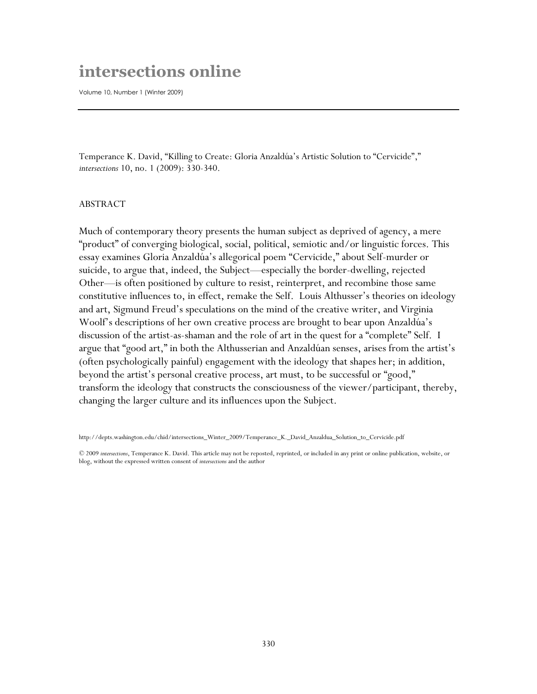## **intersections online**

Volume 10, Number 1 (Winter 2009)

Temperance K. David, "Killing to Create: Gloria Anzaldúa's Artistic Solution to "Cervicide"," *intersections* 10, no. 1 (2009): 330-340.

## ABSTRACT

Much of contemporary theory presents the human subject as deprived of agency, a mere "product" of converging biological, social, political, semiotic and/or linguistic forces. This essay examines Gloria Anzaldúa's allegorical poem "Cervicide," about Self-murder or suicide, to argue that, indeed, the Subject—especially the border-dwelling, rejected Other—is often positioned by culture to resist, reinterpret, and recombine those same constitutive influences to, in effect, remake the Self. Louis Althusser's theories on ideology and art, Sigmund Freud's speculations on the mind of the creative writer, and Virginia Woolf's descriptions of her own creative process are brought to bear upon Anzaldúa's discussion of the artist-as-shaman and the role of art in the quest for a "complete" Self. I argue that "good art," in both the Althusserian and Anzaldúan senses, arises from the artist's (often psychologically painful) engagement with the ideology that shapes her; in addition, beyond the artist's personal creative process, art must, to be successful or "good," transform the ideology that constructs the consciousness of the viewer/participant, thereby, changing the larger culture and its influences upon the Subject.

http://depts.washington.edu/chid/intersections\_Winter\_2009/Temperance\_K.\_David\_Anzaldua\_Solution\_to\_Cervicide.pdf

<sup>© 2009</sup> *intersections*, Temperance K. David. This article may not be reposted, reprinted, or included in any print or online publication, website, or blog, without the expressed written consent of *intersections* and the author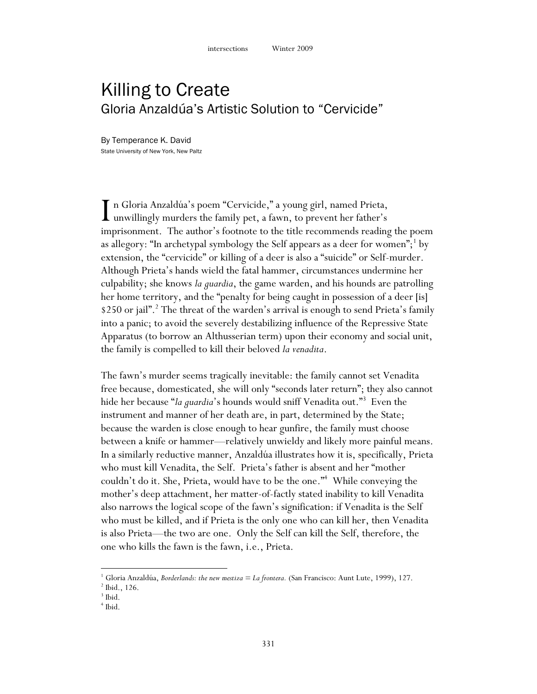## Killing to Create Gloria Anzaldúa's Artistic Solution to "Cervicide"

By Temperance K. David State University of New York, New Paltz

n Gloria Anzaldúa"s poem "Cervicide," a young girl, named Prieta, In Gloria Anzaldúa's poem "Cervicide," a young girl, named Prieta,<br>unwillingly murders the family pet, a fawn, to prevent her father's<br>imprisonment. The suther's fostants to the title recommends reading imprisonment. The author's footnote to the title recommends reading the poem as allegory: "In archetypal symbology the Self appears as a deer for women"; $^1$  by extension, the "cervicide" or killing of a deer is also a "suicide" or Self-murder. Although Prieta"s hands wield the fatal hammer, circumstances undermine her culpability; she knows *la guardia*, the game warden, and his hounds are patrolling her home territory, and the "penalty for being caught in possession of a deer [is] \$250 or jail".<sup>2</sup> The threat of the warden's arrival is enough to send Prieta's family into a panic; to avoid the severely destabilizing influence of the Repressive State Apparatus (to borrow an Althusserian term) upon their economy and social unit, the family is compelled to kill their beloved *la venadita*.

The fawn"s murder seems tragically inevitable: the family cannot set Venadita free because, domesticated, she will only "seconds later return"; they also cannot hide her because "*la guardia*"s hounds would sniff Venadita out." 3 Even the instrument and manner of her death are, in part, determined by the State; because the warden is close enough to hear gunfire, the family must choose between a knife or hammer—relatively unwieldy and likely more painful means. In a similarly reductive manner, Anzaldúa illustrates how it is, specifically, Prieta who must kill Venadita, the Self. Prieta"s father is absent and her "mother couldn"t do it. She, Prieta, would have to be the one." <sup>4</sup> While conveying the mother"s deep attachment, her matter-of-factly stated inability to kill Venadita also narrows the logical scope of the fawn"s signification: if Venadita is the Self who must be killed, and if Prieta is the only one who can kill her, then Venadita is also Prieta—the two are one. Only the Self can kill the Self, therefore, the one who kills the fawn is the fawn, i.e., Prieta.

<sup>1</sup> Gloria Anzaldúa, *Borderlands: the new mestiza = La frontera.* (San Francisco: Aunt Lute, 1999), 127.

<sup>2</sup> Ibid., 126.

 $3$  Ibid.

<sup>4</sup> Ibid.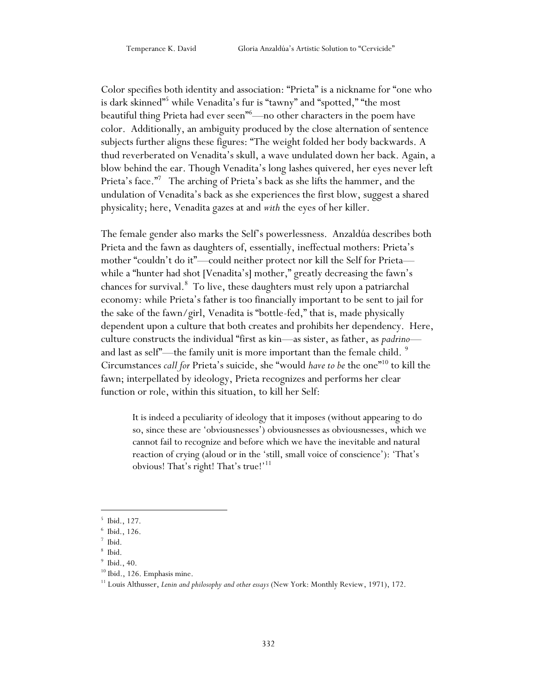Color specifies both identity and association: "Prieta" is a nickname for "one who is dark skinned"<sup>5</sup> while Venadita's fur is "tawny" and "spotted," "the most beautiful thing Prieta had ever seen"<sup>6</sup>—no other characters in the poem have color. Additionally, an ambiguity produced by the close alternation of sentence subjects further aligns these figures: "The weight folded her body backwards. A thud reverberated on Venadita"s skull, a wave undulated down her back. Again, a blow behind the ear. Though Venadita"s long lashes quivered, her eyes never left Prieta's face."<sup>7</sup> The arching of Prieta's back as she lifts the hammer, and the undulation of Venadita"s back as she experiences the first blow, suggest a shared physicality; here, Venadita gazes at and *with* the eyes of her killer.

The female gender also marks the Self"s powerlessness. Anzaldúa describes both Prieta and the fawn as daughters of, essentially, ineffectual mothers: Prieta's mother "couldn"t do it"—could neither protect nor kill the Self for Prieta while a "hunter had shot [Venadita's] mother," greatly decreasing the fawn's chances for survival. 8 To live, these daughters must rely upon a patriarchal economy: while Prieta"s father is too financially important to be sent to jail for the sake of the fawn/girl, Venadita is "bottle-fed," that is, made physically dependent upon a culture that both creates and prohibits her dependency. Here, culture constructs the individual "first as kin—as sister, as father, as *padrino* and last as self"—the family unit is more important than the female child. <sup>9</sup> Circumstances *call for* Prieta"s suicide, she "would *have to be* the one"<sup>10</sup> to kill the fawn; interpellated by ideology, Prieta recognizes and performs her clear function or role, within this situation, to kill her Self:

It is indeed a peculiarity of ideology that it imposes (without appearing to do so, since these are "obviousnesses") obviousnesses as obviousnesses, which we cannot fail to recognize and before which we have the inevitable and natural reaction of crying (aloud or in the 'still, small voice of conscience'): 'That's obvious! That's right! That's true!'<sup>11</sup>

<sup>5</sup> Ibid., 127.

<sup>6</sup> Ibid., 126.

<sup>7</sup> Ibid.

<sup>8</sup> Ibid.

<sup>9</sup> Ibid., 40.

 $^{10}$  Ibid., 126. Emphasis mine.

<sup>11</sup> Louis Althusser, *Lenin and philosophy and other essays* (New York: Monthly Review, 1971), 172.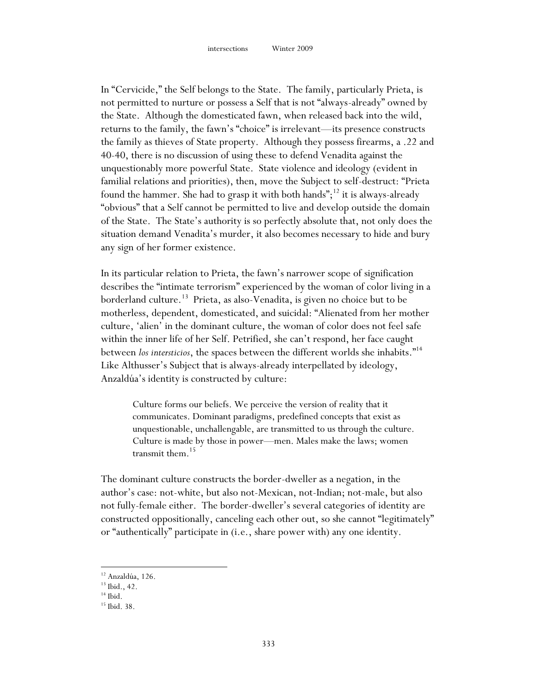In "Cervicide," the Self belongs to the State. The family, particularly Prieta, is not permitted to nurture or possess a Self that is not "always-already" owned by the State. Although the domesticated fawn, when released back into the wild, returns to the family, the fawn"s "choice" is irrelevant—its presence constructs the family as thieves of State property. Although they possess firearms, a .22 and 40-40, there is no discussion of using these to defend Venadita against the unquestionably more powerful State. State violence and ideology (evident in familial relations and priorities), then, move the Subject to self-destruct: "Prieta found the hammer. She had to grasp it with both hands";<sup>12</sup> it is always-already "obvious" that a Self cannot be permitted to live and develop outside the domain of the State. The State"s authority is so perfectly absolute that, not only does the situation demand Venadita"s murder, it also becomes necessary to hide and bury any sign of her former existence.

In its particular relation to Prieta, the fawn"s narrower scope of signification describes the "intimate terrorism" experienced by the woman of color living in a borderland culture.<sup>13</sup> Prieta, as also-Venadita, is given no choice but to be motherless, dependent, domesticated, and suicidal: "Alienated from her mother culture, "alien" in the dominant culture, the woman of color does not feel safe within the inner life of her Self. Petrified, she can't respond, her face caught between *los intersticios*, the spaces between the different worlds she inhabits." 14 Like Althusser's Subject that is always-already interpellated by ideology, Anzaldúa's identity is constructed by culture:

Culture forms our beliefs. We perceive the version of reality that it communicates. Dominant paradigms, predefined concepts that exist as unquestionable, unchallengable, are transmitted to us through the culture. Culture is made by those in power—men. Males make the laws; women transmit them. 15

The dominant culture constructs the border-dweller as a negation, in the author"s case: not-white, but also not-Mexican, not-Indian; not-male, but also not fully-female either. The border-dweller"s several categories of identity are constructed oppositionally, canceling each other out, so she cannot "legitimately" or "authentically" participate in (i.e., share power with) any one identity.

<sup>12</sup> Anzaldúa, 126.

<sup>&</sup>lt;sup>13</sup> Ibid., 42.

 $14$  Ibid.

<sup>15</sup> Ibid. 38.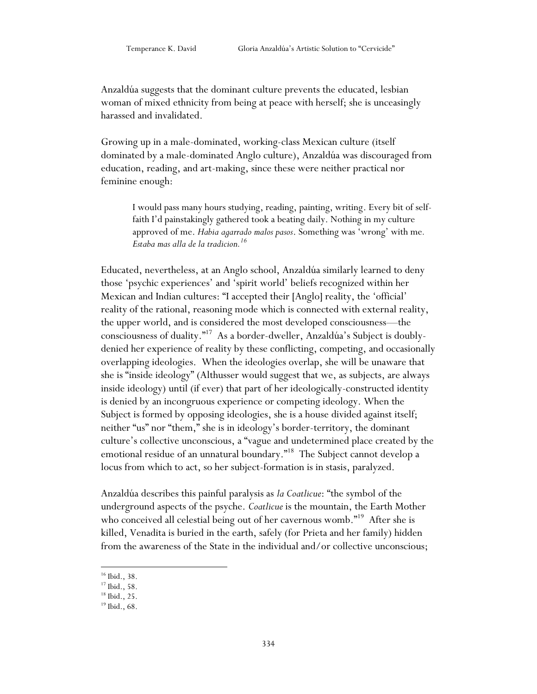Anzaldúa suggests that the dominant culture prevents the educated, lesbian woman of mixed ethnicity from being at peace with herself; she is unceasingly harassed and invalidated.

Growing up in a male-dominated, working-class Mexican culture (itself dominated by a male-dominated Anglo culture), Anzaldúa was discouraged from education, reading, and art-making, since these were neither practical nor feminine enough:

I would pass many hours studying, reading, painting, writing. Every bit of selffaith I'd painstakingly gathered took a beating daily. Nothing in my culture approved of me. *Habia agarrado malos pasos*. Something was "wrong" with me*. Estaba mas alla de la tradicion.<sup>16</sup>*

Educated, nevertheless, at an Anglo school, Anzaldúa similarly learned to deny those "psychic experiences" and "spirit world" beliefs recognized within her Mexican and Indian cultures: "I accepted their [Anglo] reality, the "official" reality of the rational, reasoning mode which is connected with external reality, the upper world, and is considered the most developed consciousness—the consciousness of duality." <sup>17</sup> As a border-dweller, Anzaldúa"s Subject is doublydenied her experience of reality by these conflicting, competing, and occasionally overlapping ideologies. When the ideologies overlap, she will be unaware that she is "inside ideology" (Althusser would suggest that we, as subjects, are always inside ideology) until (if ever) that part of her ideologically-constructed identity is denied by an incongruous experience or competing ideology. When the Subject is formed by opposing ideologies, she is a house divided against itself; neither "us" nor "them," she is in ideology"s border-territory, the dominant culture's collective unconscious, a "vague and undetermined place created by the emotional residue of an unnatural boundary." <sup>18</sup> The Subject cannot develop a locus from which to act, so her subject-formation is in stasis, paralyzed.

Anzaldúa describes this painful paralysis as *la Coatlicue*: "the symbol of the underground aspects of the psyche. *Coatlicue* is the mountain, the Earth Mother who conceived all celestial being out of her cavernous womb."<sup>19</sup> After she is killed, Venadita is buried in the earth, safely (for Prieta and her family) hidden from the awareness of the State in the individual and/or collective unconscious;

<sup>16</sup> Ibid., 38.

<sup>17</sup> Ibid., 58.

<sup>18</sup> Ibid., 25.

 $19$  Ibid., 68.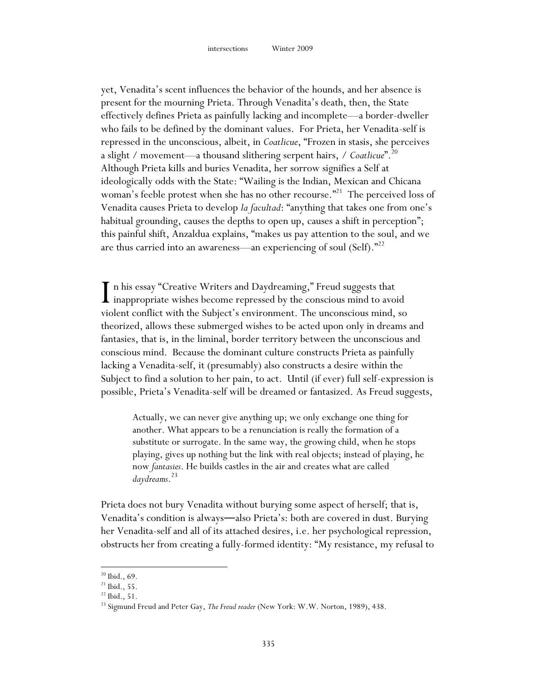yet, Venadita"s scent influences the behavior of the hounds, and her absence is present for the mourning Prieta. Through Venadita"s death, then, the State effectively defines Prieta as painfully lacking and incomplete—a border-dweller who fails to be defined by the dominant values. For Prieta, her Venadita-self is repressed in the unconscious, albeit, in *Coatlicue*, "Frozen in stasis, she perceives a slight / movement—a thousand slithering serpent hairs, / *Coatlicue*". 20 Although Prieta kills and buries Venadita, her sorrow signifies a Self at ideologically odds with the State: "Wailing is the Indian, Mexican and Chicana woman's feeble protest when she has no other recourse."<sup>21</sup> The perceived loss of Venadita causes Prieta to develop *la facultad*: "anything that takes one from one"s habitual grounding, causes the depths to open up, causes a shift in perception"; this painful shift, Anzaldua explains, "makes us pay attention to the soul, and we are thus carried into an awareness—an experiencing of soul (Self)."<sup>22</sup>

n his essay "Creative Writers and Daydreaming," Freud suggests that In his essay "Creative Writers and Daydreaming," Freud suggests that<br>inappropriate wishes become repressed by the conscious mind to avoid<br>wishert conflict with the Subject's approximant. The unconscious mind as violent conflict with the Subject"s environment. The unconscious mind, so theorized, allows these submerged wishes to be acted upon only in dreams and fantasies, that is, in the liminal, border territory between the unconscious and conscious mind. Because the dominant culture constructs Prieta as painfully lacking a Venadita-self, it (presumably) also constructs a desire within the Subject to find a solution to her pain, to act. Until (if ever) full self-expression is possible, Prieta"s Venadita-self will be dreamed or fantasized. As Freud suggests,

Actually, we can never give anything up; we only exchange one thing for another. What appears to be a renunciation is really the formation of a substitute or surrogate. In the same way, the growing child, when he stops playing, gives up nothing but the link with real objects; instead of playing, he now *fantasies*. He builds castles in the air and creates what are called *daydreams*. 23

Prieta does not bury Venadita without burying some aspect of herself; that is, Venadita's condition is always—also Prieta's: both are covered in dust. Burying her Venadita-self and all of its attached desires, i.e. her psychological repression, obstructs her from creating a fully-formed identity: "My resistance, my refusal to

 $20$  Ibid., 69.

 $21$  Ibid., 55.

 $^{22}$  Ibid.,  $51.$ 

<sup>&</sup>lt;sup>23</sup> Sigmund Freud and Peter Gay, *The Freud reader* (New York: W.W. Norton, 1989), 438.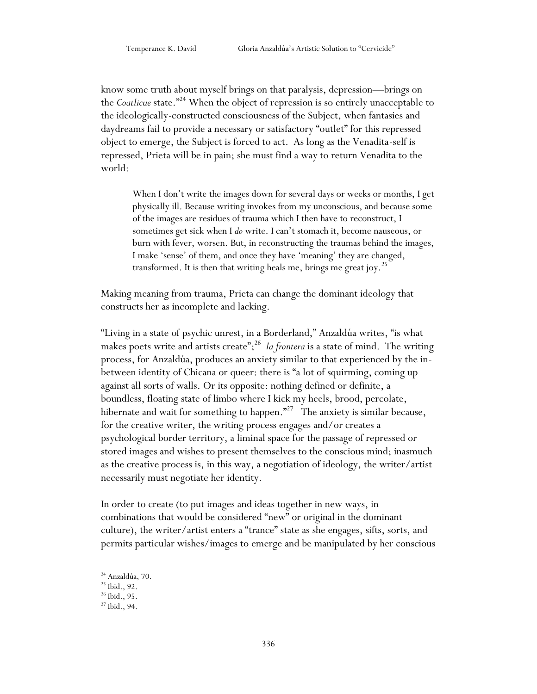know some truth about myself brings on that paralysis, depression—brings on the *Coatlicue* state."<sup>24</sup> When the object of repression is so entirely unacceptable to the ideologically-constructed consciousness of the Subject, when fantasies and daydreams fail to provide a necessary or satisfactory "outlet" for this repressed object to emerge, the Subject is forced to act. As long as the Venadita-self is repressed, Prieta will be in pain; she must find a way to return Venadita to the world:

When I don't write the images down for several days or weeks or months, I get physically ill. Because writing invokes from my unconscious, and because some of the images are residues of trauma which I then have to reconstruct, I sometimes get sick when I *do* write. I can't stomach it, become nauseous, or burn with fever, worsen. But, in reconstructing the traumas behind the images, I make 'sense' of them, and once they have 'meaning' they are changed, transformed. It is then that writing heals me, brings me great joy.<sup>25</sup>

Making meaning from trauma, Prieta can change the dominant ideology that constructs her as incomplete and lacking.

"Living in a state of psychic unrest, in a Borderland," Anzaldúa writes, "is what makes poets write and artists create"; <sup>26</sup> *la frontera* is a state of mind. The writing process, for Anzaldúa, produces an anxiety similar to that experienced by the inbetween identity of Chicana or queer: there is "a lot of squirming, coming up against all sorts of walls. Or its opposite: nothing defined or definite, a boundless, floating state of limbo where I kick my heels, brood, percolate, hibernate and wait for something to happen."<sup>27</sup> The anxiety is similar because, for the creative writer, the writing process engages and/or creates a psychological border territory, a liminal space for the passage of repressed or stored images and wishes to present themselves to the conscious mind; inasmuch as the creative process is, in this way, a negotiation of ideology, the writer/artist necessarily must negotiate her identity.

In order to create (to put images and ideas together in new ways, in combinations that would be considered "new" or original in the dominant culture), the writer/artist enters a "trance" state as she engages, sifts, sorts, and permits particular wishes/images to emerge and be manipulated by her conscious

<sup>&</sup>lt;sup>24</sup> Anzaldúa, 70.

<sup>25</sup> Ibid., 92.

<sup>26</sup> Ibid., 95.

<sup>27</sup> Ibid., 94.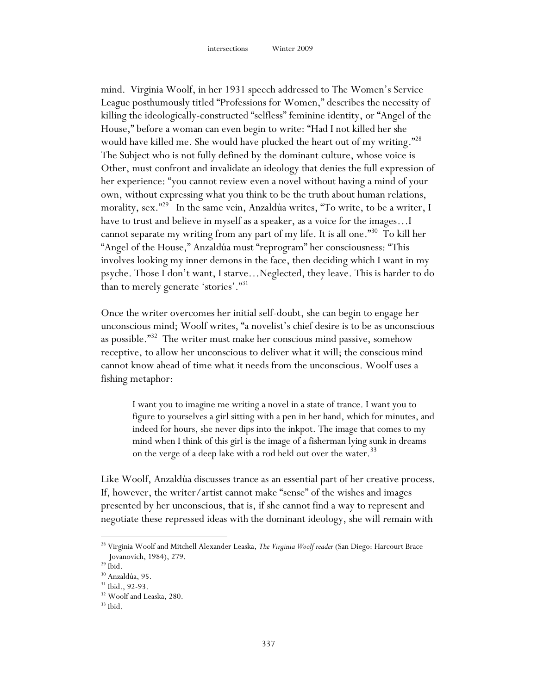mind. Virginia Woolf, in her 1931 speech addressed to The Women's Service League posthumously titled "Professions for Women," describes the necessity of killing the ideologically-constructed "selfless" feminine identity, or "Angel of the House," before a woman can even begin to write: "Had I not killed her she would have killed me. She would have plucked the heart out of my writing."<sup>28</sup> The Subject who is not fully defined by the dominant culture, whose voice is Other, must confront and invalidate an ideology that denies the full expression of her experience: "you cannot review even a novel without having a mind of your own, without expressing what you think to be the truth about human relations, morality, sex."<sup>29</sup> In the same vein, Anzaldúa writes, "To write, to be a writer, I have to trust and believe in myself as a speaker, as a voice for the images…I cannot separate my writing from any part of my life. It is all one."<sup>30</sup> To kill her "Angel of the House," Anzaldúa must "reprogram" her consciousness: "This involves looking my inner demons in the face, then deciding which I want in my psyche. Those I don"t want, I starve…Neglected, they leave. This is harder to do than to merely generate 'stories'."<sup>31</sup>

Once the writer overcomes her initial self-doubt, she can begin to engage her unconscious mind; Woolf writes, "a novelist's chief desire is to be as unconscious as possible."<sup>32</sup> The writer must make her conscious mind passive, somehow receptive, to allow her unconscious to deliver what it will; the conscious mind cannot know ahead of time what it needs from the unconscious. Woolf uses a fishing metaphor:

I want you to imagine me writing a novel in a state of trance. I want you to figure to yourselves a girl sitting with a pen in her hand, which for minutes, and indeed for hours, she never dips into the inkpot. The image that comes to my mind when I think of this girl is the image of a fisherman lying sunk in dreams on the verge of a deep lake with a rod held out over the water.<sup>33</sup>

Like Woolf, Anzaldúa discusses trance as an essential part of her creative process. If, however, the writer/artist cannot make "sense" of the wishes and images presented by her unconscious, that is, if she cannot find a way to represent and negotiate these repressed ideas with the dominant ideology, she will remain with

<sup>28</sup> Virginia Woolf and Mitchell Alexander Leaska, *The Virginia Woolf reader* (San Diego: Harcourt Brace Jovanovich, 1984), 279.

 $^{\rm 29}$  Ibid.

<sup>30</sup> Anzaldúa, 95.

 $31$  Ibid., 92-93.

<sup>&</sup>lt;sup>32</sup> Woolf and Leaska, 280.

 $33$  Ibid.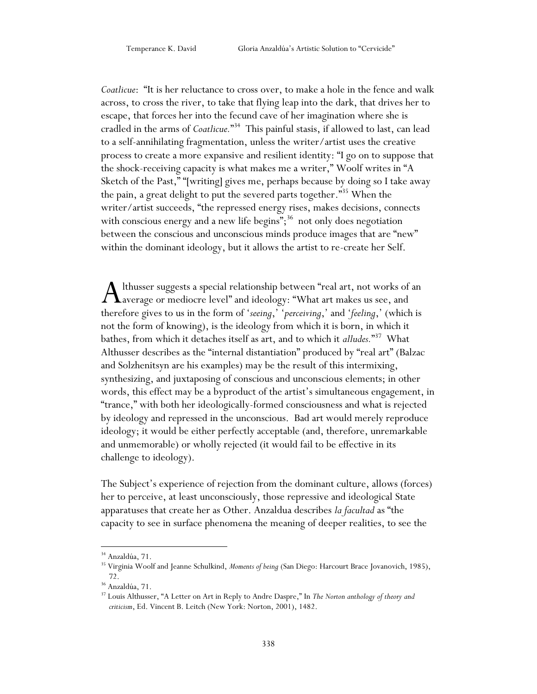*Coatlicue*: "It is her reluctance to cross over, to make a hole in the fence and walk across, to cross the river, to take that flying leap into the dark, that drives her to escape, that forces her into the fecund cave of her imagination where she is cradled in the arms of *Coatlicue.*" <sup>34</sup> This painful stasis, if allowed to last, can lead to a self-annihilating fragmentation, unless the writer/artist uses the creative process to create a more expansive and resilient identity: "I go on to suppose that the shock-receiving capacity is what makes me a writer," Woolf writes in "A Sketch of the Past," "[writing] gives me, perhaps because by doing so I take away the pain, a great delight to put the severed parts together."<sup>35</sup> When the writer/artist succeeds, "the repressed energy rises, makes decisions, connects with conscious energy and a new life begins";<sup>36</sup> not only does negotiation between the conscious and unconscious minds produce images that are "new" within the dominant ideology, but it allows the artist to re-create her Self.

lthusser suggests a special relationship between "real art, not works of an A lthusser suggests a special relationship between "real art, not works of<br>average or mediocre level" and ideology: "What art makes us see, and<br>therefore gives to us in the form of 'cuine' (neutrine', and 'falline', (which therefore gives to us in the form of 'seeing,' 'perceiving,' and 'feeling,' (which is not the form of knowing), is the ideology from which it is born, in which it bathes, from which it detaches itself as art, and to which it *alludes.*" 37 What Althusser describes as the "internal distantiation" produced by "real art" (Balzac and Solzhenitsyn are his examples) may be the result of this intermixing, synthesizing, and juxtaposing of conscious and unconscious elements; in other words, this effect may be a byproduct of the artist's simultaneous engagement, in "trance," with both her ideologically-formed consciousness and what is rejected by ideology and repressed in the unconscious. Bad art would merely reproduce ideology; it would be either perfectly acceptable (and, therefore, unremarkable and unmemorable) or wholly rejected (it would fail to be effective in its challenge to ideology).

The Subject"s experience of rejection from the dominant culture, allows (forces) her to perceive, at least unconsciously, those repressive and ideological State apparatuses that create her as Other. Anzaldua describes *la facultad* as "the capacity to see in surface phenomena the meaning of deeper realities, to see the

<sup>&</sup>lt;sup>34</sup> Anzaldúa, 71.

<sup>35</sup> Virginia Woolf and Jeanne Schulkind, *Moments of being* (San Diego: Harcourt Brace Jovanovich, 1985), 72.

<sup>36</sup> Anzaldúa, 71.

<sup>37</sup> Louis Althusser, "A Letter on Art in Reply to Andre Daspre," In *The Norton anthology of theory and criticism*, Ed. Vincent B. Leitch (New York: Norton, 2001), 1482.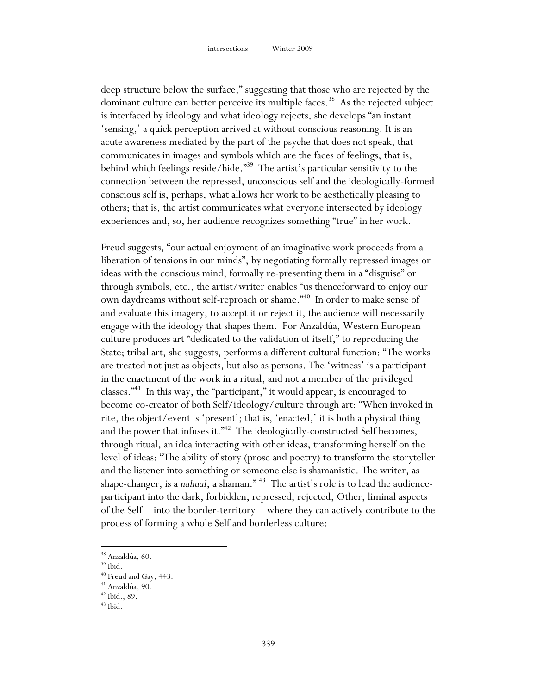deep structure below the surface," suggesting that those who are rejected by the dominant culture can better perceive its multiple faces.<sup>38</sup> As the rejected subject is interfaced by ideology and what ideology rejects, she develops "an instant 'sensing,' a quick perception arrived at without conscious reasoning. It is an acute awareness mediated by the part of the psyche that does not speak, that communicates in images and symbols which are the faces of feelings, that is, behind which feelings reside/hide."<sup>39</sup> The artist's particular sensitivity to the connection between the repressed, unconscious self and the ideologically-formed conscious self is, perhaps, what allows her work to be aesthetically pleasing to others; that is, the artist communicates what everyone intersected by ideology experiences and, so, her audience recognizes something "true" in her work.

Freud suggests, "our actual enjoyment of an imaginative work proceeds from a liberation of tensions in our minds"; by negotiating formally repressed images or ideas with the conscious mind, formally re-presenting them in a "disguise" or through symbols, etc., the artist/writer enables "us thenceforward to enjoy our own daydreams without self-reproach or shame." 40 In order to make sense of and evaluate this imagery, to accept it or reject it, the audience will necessarily engage with the ideology that shapes them. For Anzaldúa, Western European culture produces art "dedicated to the validation of itself," to reproducing the State; tribal art, she suggests, performs a different cultural function: "The works are treated not just as objects, but also as persons. The "witness" is a participant in the enactment of the work in a ritual, and not a member of the privileged classes." <sup>41</sup> In this way, the "participant," it would appear, is encouraged to become co-creator of both Self/ideology/culture through art: "When invoked in rite, the object/event is 'present'; that is, 'enacted,' it is both a physical thing and the power that infuses it."<sup>42</sup> The ideologically-constructed Self becomes, through ritual, an idea interacting with other ideas, transforming herself on the level of ideas: "The ability of story (prose and poetry) to transform the storyteller and the listener into something or someone else is shamanistic. The writer, as shape-changer, is a *nahual*, a shaman."<sup>43</sup> The artist's role is to lead the audienceparticipant into the dark, forbidden, repressed, rejected, Other, liminal aspects of the Self—into the border-territory—where they can actively contribute to the process of forming a whole Self and borderless culture:

<sup>38</sup> Anzaldúa, 60.

 $39$  Ibid.

<sup>40</sup> Freud and Gay, 443.

<sup>41</sup> Anzaldúa, 90.

<sup>42</sup> Ibid., 89.

 $43$  Ibid.